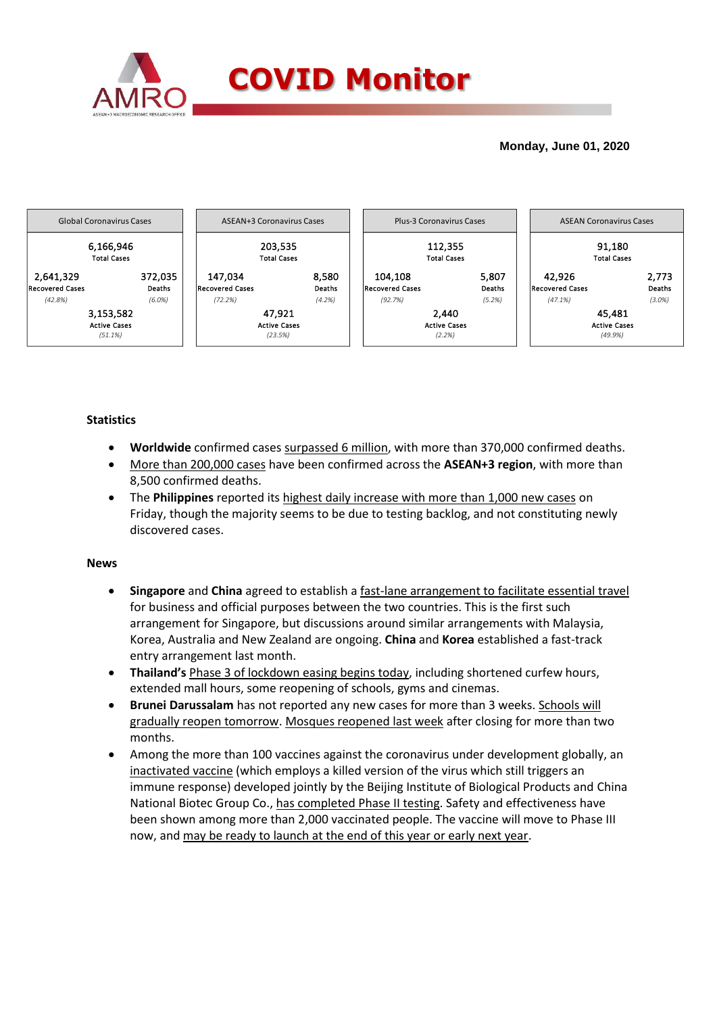

## **Monday, June 01, 2020**



## **Statistics**

- **Worldwide** confirmed cases surpassed 6 million, with more than 370,000 confirmed deaths.
- More than 200,000 cases have been confirmed across the **ASEAN+3 region**, with more than 8,500 confirmed deaths.
- The **Philippines** reported its highest daily increase with more than 1,000 new cases on Friday, though the majority seems to be due to testing backlog, and not constituting newly discovered cases.

## **News**

- **Singapore** and **China** agreed to establish a fast-lane arrangement to facilitate essential travel for business and official purposes between the two countries. This is the first such arrangement for Singapore, but discussions around similar arrangements with Malaysia, Korea, Australia and New Zealand are ongoing. **China** and **Korea** established a fast-track entry arrangement last month.
- **Thailand's** Phase 3 of lockdown easing begins today, including shortened curfew hours, extended mall hours, some reopening of schools, gyms and cinemas.
- **Brunei Darussalam** has not reported any new cases for more than 3 weeks. Schools will gradually reopen tomorrow. Mosques reopened last week after closing for more than two months.
- Among the more than 100 vaccines against the coronavirus under development globally, an inactivated vaccine (which employs a killed version of the virus which still triggers an immune response) developed jointly by the Beijing Institute of Biological Products and China National Biotec Group Co., has completed Phase II testing. Safety and effectiveness have been shown among more than 2,000 vaccinated people. The vaccine will move to Phase III now, and may be ready to launch at the end of this year or early next year.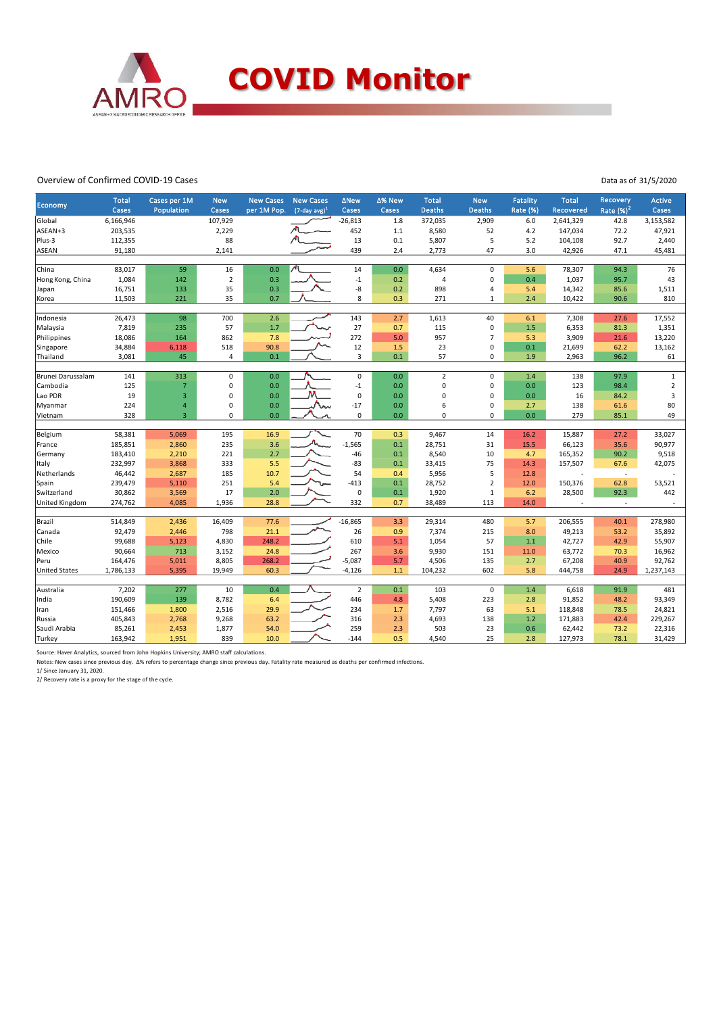

### Overview of Confirmed COVID-19 Cases

Data as of 31/5/2020

| <b>Economy</b>       | <b>Total</b><br>Cases | Cases per 1M<br>Population | <b>New</b><br>Cases | <b>New Cases</b><br>per 1M Pop. | <b>New Cases</b><br>$(7$ -day avg) <sup>1</sup> | <b>ANew</b><br>Cases    | ∆% New<br>Cases | Total,<br><b>Deaths</b> | <b>New</b><br><b>Deaths</b> | <b>Fatality</b><br><b>Rate (%)</b> | <b>Total</b><br><b>Recovered</b> | <b>Recovery</b><br>Rate $(%)2$ | <b>Active</b><br>Cases |
|----------------------|-----------------------|----------------------------|---------------------|---------------------------------|-------------------------------------------------|-------------------------|-----------------|-------------------------|-----------------------------|------------------------------------|----------------------------------|--------------------------------|------------------------|
| Global               | 6,166,946             |                            | 107,929             |                                 |                                                 | $-26,813$               | 1.8             | 372,035                 | 2,909                       | 6.0                                | 2,641,329                        | 42.8                           | 3,153,582              |
| ASEAN+3              | 203,535               |                            | 2,229               |                                 |                                                 | 452                     | 1.1             | 8,580                   | 52                          | 4.2                                | 147,034                          | 72.2                           | 47,921                 |
| Plus-3               | 112,355               |                            | 88                  |                                 |                                                 | 13                      | 0.1             | 5,807                   | 5                           | 5.2                                | 104,108                          | 92.7                           | 2,440                  |
| <b>ASEAN</b>         | 91,180                |                            | 2,141               |                                 |                                                 | 439                     | 2.4             | 2,773                   | 47                          | 3.0                                | 42,926                           | 47.1                           | 45,481                 |
|                      |                       |                            |                     |                                 |                                                 |                         |                 |                         |                             |                                    |                                  |                                |                        |
| China                | 83,017                | 59                         | 16                  | 0.0                             |                                                 | 14                      | 0.0             | 4,634                   | $\pmb{0}$                   | 5.6                                | 78,307                           | 94.3                           | 76                     |
| Hong Kong, China     | 1,084                 | 142                        | $\mathbf 2$         | 0.3                             |                                                 | $^{\mbox{{\small -1}}}$ | 0.2             | $\overline{a}$          | $\mathbf 0$                 | 0.4                                | 1,037                            | 95.7                           | 43                     |
| Japan                | 16,751                | 133                        | 35                  | 0.3                             |                                                 | -8                      | 0.2             | 898                     | $\overline{4}$              | 5.4                                | 14,342                           | 85.6                           | 1,511                  |
| Korea                | 11,503                | 221                        | 35                  | 0.7                             |                                                 | 8                       | 0.3             | 271                     | $\mathbf{1}$                | 2.4                                | 10,422                           | 90.6                           | 810                    |
|                      |                       |                            |                     |                                 |                                                 |                         |                 |                         |                             |                                    |                                  |                                |                        |
| Indonesia            | 26,473                | 98                         | 700                 | 2.6                             |                                                 | 143                     | 2.7             | 1,613                   | 40                          | 6.1                                | 7,308                            | 27.6                           | 17,552                 |
| Malaysia             | 7,819                 | 235                        | 57                  | 1.7                             |                                                 | 27                      | 0.7             | 115                     | $\pmb{0}$                   | 1.5                                | 6,353                            | 81.3                           | 1,351                  |
| Philippines          | 18,086                | 164                        | 862                 | 7.8                             |                                                 | 272                     | 5.0             | 957                     | $\overline{7}$              | 5.3                                | 3,909                            | 21.6                           | 13,220                 |
| Singapore            | 34,884                | 6,118                      | 518                 | 90.8                            |                                                 | 12                      | 1.5             | 23                      | $\pmb{0}$                   | 0.1                                | 21,699                           | 62.2                           | 13,162                 |
| Thailand             | 3,081                 | 45                         | 4                   | 0.1                             |                                                 | 3                       | 0.1             | 57                      | $\mathbf 0$                 | 1.9                                | 2,963                            | 96.2                           | 61                     |
|                      |                       | 313                        | $\mathbf 0$         | 0.0                             |                                                 | $\mathsf 0$             | 0.0             | $\overline{2}$          | $\pmb{0}$                   | 1.4                                |                                  | 97.9                           |                        |
| Brunei Darussalam    | 141                   |                            |                     |                                 |                                                 |                         |                 |                         |                             |                                    | 138                              |                                | $\mathbf{1}$           |
| Cambodia             | 125                   | $\overline{7}$             | 0                   | 0.0                             |                                                 | $^{\mbox{{\small -1}}}$ | 0.0             | $\mathbf 0$             | $\pmb{0}$                   | 0.0                                | 123                              | 98.4                           | $\mathbf 2$            |
| Lao PDR              | 19                    | 3                          | $\mathbf 0$         | 0.0                             |                                                 | $\mathbf 0$             | 0.0             | $\mathbf 0$             | $\mathbf 0$                 | 0.0                                | 16                               | 84.2                           | 3                      |
| Myanmar              | 224                   | $\overline{4}$             | $\mathbf 0$         | 0.0                             |                                                 | $-17$                   | 0.0             | 6                       | $\mathbf 0$                 | 2.7                                | 138                              | 61.6                           | 80                     |
| Vietnam              | 328                   | $\overline{\mathbf{3}}$    | $\Omega$            | 0.0                             |                                                 | $\mathbf 0$             | 0.0             | $\mathbf 0$             | $\mathbf 0$                 | 0.0                                | 279                              | 85.1                           | 49                     |
| Belgium              | 58,381                | 5,069                      | 195                 | 16.9                            |                                                 | 70                      | 0.3             | 9,467                   | 14                          | 16.2                               | 15,887                           | 27.2                           | 33,027                 |
| France               | 185,851               | 2,860                      | 235                 | 3.6                             |                                                 | $-1,565$                | 0.1             | 28,751                  | 31                          | 15.5                               | 66,123                           | 35.6                           | 90,977                 |
| Germany              | 183,410               | 2,210                      | 221                 | 2.7                             |                                                 | $-46$                   | 0.1             | 8,540                   | 10                          | 4.7                                | 165,352                          | 90.2                           | 9,518                  |
| Italy                | 232,997               | 3,868                      | 333                 | 5.5                             |                                                 | $-83$                   | 0.1             | 33,415                  | 75                          | 14.3                               | 157,507                          | 67.6                           | 42,075                 |
| Netherlands          | 46,442                | 2,687                      | 185                 | 10.7                            |                                                 | 54                      | 0.4             | 5,956                   | 5                           | 12.8                               |                                  | $\overline{\phantom{a}}$       |                        |
| Spain                | 239,479               | 5,110                      | 251                 | 5.4                             |                                                 | $-413$                  | 0.1             | 28,752                  | $\overline{2}$              | 12.0                               | 150,376                          | 62.8                           | 53,521                 |
| Switzerland          | 30,862                | 3,569                      | 17                  | 2.0                             |                                                 | $\mathbf 0$             | 0.1             | 1,920                   | $\mathbf 1$                 | 6.2                                | 28,500                           | 92.3                           | 442                    |
| United Kingdom       | 274,762               | 4,085                      | 1,936               | 28.8                            |                                                 | 332                     | 0.7             | 38,489                  | 113                         | 14.0                               |                                  | $\sim$                         |                        |
|                      |                       |                            |                     |                                 |                                                 |                         |                 |                         |                             |                                    |                                  |                                |                        |
| Brazil               | 514,849               | 2,436                      | 16,409              | 77.6                            |                                                 | $-16,865$               | 3.3             | 29,314                  | 480                         | 5.7                                | 206,555                          | 40.1                           | 278,980                |
| Canada               | 92,479                | 2,446                      | 798                 | 21.1                            |                                                 | 26                      | 0.9             | 7,374                   | 215                         | 8.0                                | 49,213                           | 53.2                           | 35,892                 |
| Chile                | 99,688                | 5,123                      | 4,830               | 248.2                           |                                                 | 610                     | 5.1             | 1,054                   | 57                          | 1.1                                | 42,727                           | 42.9                           | 55,907                 |
| Mexico               | 90,664                | 713                        | 3,152               | 24.8                            |                                                 | 267                     | 3.6             | 9,930                   | 151                         | 11.0                               | 63,772                           | 70.3                           | 16,962                 |
| Peru                 | 164,476               | 5,011                      | 8,805               | 268.2                           |                                                 | $-5,087$                | 5.7             | 4,506                   | 135                         | 2.7                                | 67,208                           | 40.9                           | 92,762                 |
| <b>United States</b> | 1,786,133             | 5,395                      | 19,949              | 60.3                            |                                                 | $-4,126$                | 1.1             | 104,232                 | 602                         | 5.8                                | 444,758                          | 24.9                           | 1,237,143              |
|                      |                       |                            |                     |                                 |                                                 |                         |                 |                         |                             |                                    |                                  |                                |                        |
| Australia            | 7,202                 | 277                        | 10                  | 0.4                             |                                                 | $\overline{2}$          | 0.1             | 103                     | $\mathbf 0$                 | 1.4                                | 6,618                            | 91.9                           | 481                    |
| India                | 190,609               | 139                        | 8,782               | 6.4                             |                                                 | 446                     | 4.8             | 5,408                   | 223                         | 2.8                                | 91,852                           | 48.2                           | 93,349                 |
| Iran                 | 151,466               | 1,800                      | 2,516               | 29.9                            |                                                 | 234                     | 1.7             | 7,797                   | 63                          | 5.1                                | 118,848                          | 78.5                           | 24,821                 |
| Russia               | 405,843               | 2,768                      | 9,268               | 63.2                            |                                                 | 316                     | 2.3             | 4,693                   | 138                         | 1.2                                | 171,883                          | 42.4                           | 229,267                |
| Saudi Arabia         | 85,261                | 2,453                      | 1,877               | 54.0                            |                                                 | 259                     | 2.3             | 503                     | 23                          | 0.6                                | 62,442                           | 73.2                           | 22,316                 |
| Turkey               | 163,942               | 1,951                      | 839                 | 10.0                            |                                                 | $-144$                  | 0.5             | 4,540                   | 25                          | 2.8                                | 127,973                          | 78.1                           | 31,429                 |

Source: Haver Analytics, sourced from John Hopkins University; AMRO staff calculations.

Notes: New cases since previous day. Δ% refers to percentage change since previous day. Fatality rate measured as deaths per confirmed infections.<br>1/ Since January 31, 2020.<br>2/ Recovery rate is a proxy for the stage of the